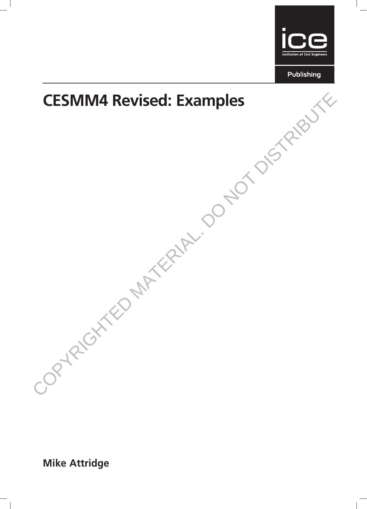



Mike Attridge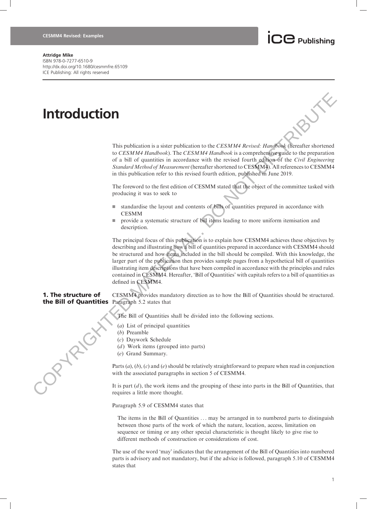## $\overline{\mathbf{C}}$  Publishing

## Attridge Mike

ISBN 978-0-7277-6510-9 http://dx.doi.org/10.1680/cesmmfre.65109 ICE Publishing: All rights reserved

## Introduction

This publication is a sister publication to the CESMM4 Revised: Handbook (hereafter shortened to CESMM4 Handbook). The CESMM4 Handbook is a comprehensive guide to the preparation of a bill of quantities in accordance with the revised fourth edition of the Civil Engineering Standard Method of Measurement (hereafter shortened to CESMM4). All references to CESMM4 in this publication refer to this revised fourth edition, published in June 2019.

The foreword to the first edition of CESMM stated that the object of the committee tasked with producing it was to seek to

- $\blacksquare$  standardise the layout and contents of bills of quantities prepared in accordance with CESMM
- $\blacksquare$  provide a systematic structure of bill items leading to more uniform itemisation and description.

The principal focus of this publication is to explain how CESMM4 achieves these objectives by describing and illustrating how a bill of quantities prepared in accordance with CESMM4 should be structured and how items included in the bill should be compiled. With this knowledge, the larger part of the publication then provides sample pages from a hypothetical bill of quantities illustrating item descriptions that have been compiled in accordance with the principles and rules contained in CESMM4. Hereafter, 'Bill of Quantities' with capitals refers to a bill of quantities as defined in CESMM4. **Interpretation**<br>
This publication is a sister publication is the *CFSWM4 Revised: Unglish* Cheratic shortest to the Co-CAMM *Hardcook*). The *CESMM4 Propiesing* Constant enverted to a form of a street of the resistent of

1. The structure of the Bill of Quantities Paragraph 5.2 states that CESMM4 provides mandatory direction as to how the Bill of Quantities should be structured.

The Bill of Quantities shall be divided into the following sections.

- (a) List of principal quantities
- (b) Preamble
- (c) Daywork Schedule
- ( $d$ ) Work items (grouped into parts)
- (e) Grand Summary.

Parts  $(a)$ ,  $(b)$ ,  $(c)$  and  $(e)$  should be relatively straightforward to prepare when read in conjunction with the associated paragraphs in section 5 of CESMM4.

It is part  $(d)$ , the work items and the grouping of these into parts in the Bill of Quantities, that requires a little more thought.

Paragraph 5.9 of CESMM4 states that

The items in the Bill of Quantities ... may be arranged in to numbered parts to distinguish between those parts of the work of which the nature, location, access, limitation on sequence or timing or any other special characteristic is thought likely to give rise to different methods of construction or considerations of cost.

The use of the word 'may' indicates that the arrangement of the Bill of Quantities into numbered parts is advisory and not mandatory, but if the advice is followed, paragraph 5.10 of CESMM4 states that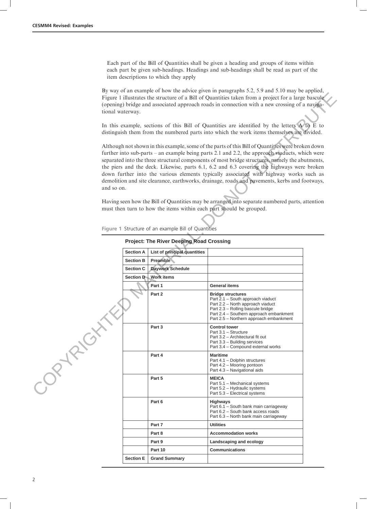Each part of the Bill of Quantities shall be given a heading and groups of items within each part be given sub-headings. Headings and sub-headings shall be read as part of the item descriptions to which they apply

By way of an example of how the advice given in paragraphs 5.2, 5.9 and 5.10 may be applied, Figure 1 illustrates the structure of a Bill of Quantities taken from a project for a large bascule (opening) bridge and associated approach roads in connection with a new crossing of a navigational waterway.

| tional waterway. |                  |                                                     | Figure 1 illustrates the structure of a Bill of Quantities taken from a project for a large bascule<br>(opening) bridge and associated approach roads in connection with a new crossing of a naviga-                                                                                                                                                                                                                                                                                                                                                                                                                                                                                                                                                                     |  |
|------------------|------------------|-----------------------------------------------------|--------------------------------------------------------------------------------------------------------------------------------------------------------------------------------------------------------------------------------------------------------------------------------------------------------------------------------------------------------------------------------------------------------------------------------------------------------------------------------------------------------------------------------------------------------------------------------------------------------------------------------------------------------------------------------------------------------------------------------------------------------------------------|--|
|                  |                  |                                                     | In this example, sections of this Bill of Quantities are identified by the letters $A$ to $E$ to<br>distinguish them from the numbered parts into which the work items themselves are divided.                                                                                                                                                                                                                                                                                                                                                                                                                                                                                                                                                                           |  |
| and so on.       |                  | Figure 1 Structure of an example Bill of Quantities | Although not shown in this example, some of the parts of this Bill of Quantities were broken down<br>further into sub-parts – an example being parts 2.1 and 2.2, the approach viaducts, which were<br>separated into the three structural components of most bridge structures, namely the abutments,<br>the piers and the deck. Likewise, parts 6.1, 6.2 and 6.3 covering the highways were broken<br>down further into the various elements typically associated with highway works such as<br>demolition and site clearance, earthworks, drainage, roads and pavements, kerbs and footways,<br>Having seen how the Bill of Quantities may be arranged into separate numbered parts, attention<br>must then turn to how the items within each part should be grouped. |  |
|                  |                  | <b>Project: The River Deeping Road Crossing</b>     |                                                                                                                                                                                                                                                                                                                                                                                                                                                                                                                                                                                                                                                                                                                                                                          |  |
|                  | <b>Section A</b> | List of principal quantities                        |                                                                                                                                                                                                                                                                                                                                                                                                                                                                                                                                                                                                                                                                                                                                                                          |  |
|                  | <b>Section B</b> | Preamble                                            |                                                                                                                                                                                                                                                                                                                                                                                                                                                                                                                                                                                                                                                                                                                                                                          |  |
|                  | <b>Section C</b> | <b>Daywork Schedule</b>                             |                                                                                                                                                                                                                                                                                                                                                                                                                                                                                                                                                                                                                                                                                                                                                                          |  |
|                  | Section D        | <b>Work items</b>                                   |                                                                                                                                                                                                                                                                                                                                                                                                                                                                                                                                                                                                                                                                                                                                                                          |  |
|                  |                  | Part 1                                              | <b>General items</b>                                                                                                                                                                                                                                                                                                                                                                                                                                                                                                                                                                                                                                                                                                                                                     |  |
|                  |                  | Part 2                                              | <b>Bridge structures</b><br>Part 2.1 - South approach viaduct<br>Part 2.2 - North approach viaduct<br>Part 2.3 - Rolling bascule bridge<br>Part 2.4 – Southern approach embankment<br>Part 2.5 - Northern approach embankment                                                                                                                                                                                                                                                                                                                                                                                                                                                                                                                                            |  |
|                  |                  | Part 3                                              | <b>Control tower</b><br>Part 3.1 - Structure<br>Part 3.2 - Architectural fit out<br>Part 3.3 – Building services<br>Part 3.4 – Compound external works                                                                                                                                                                                                                                                                                                                                                                                                                                                                                                                                                                                                                   |  |
| 1927-            |                  | Part 4                                              | <b>Maritime</b><br>Part 4.1 - Dolphin structures<br>Part 4.2 - Mooring pontoon<br>Part 4.3 - Navigational aids                                                                                                                                                                                                                                                                                                                                                                                                                                                                                                                                                                                                                                                           |  |
|                  |                  | Part 5                                              | <b>MEICA</b><br>Part 5.1 - Mechanical systems<br>Part 5.2 - Hydraulic systems<br>Part 5.3 - Electrical systems                                                                                                                                                                                                                                                                                                                                                                                                                                                                                                                                                                                                                                                           |  |
|                  |                  | Part 6                                              | <b>Highways</b><br>Part 6.1 - South bank main carriageway<br>Part 6.2 - South bank access roads<br>Part 6.3 - North bank main carriageway                                                                                                                                                                                                                                                                                                                                                                                                                                                                                                                                                                                                                                |  |
|                  |                  | Part 7                                              | <b>Utilities</b>                                                                                                                                                                                                                                                                                                                                                                                                                                                                                                                                                                                                                                                                                                                                                         |  |
|                  |                  | Part 8                                              | <b>Accommodation works</b>                                                                                                                                                                                                                                                                                                                                                                                                                                                                                                                                                                                                                                                                                                                                               |  |
|                  |                  | Part 9                                              | Landscaping and ecology                                                                                                                                                                                                                                                                                                                                                                                                                                                                                                                                                                                                                                                                                                                                                  |  |
|                  |                  | Part 10                                             | <b>Communications</b>                                                                                                                                                                                                                                                                                                                                                                                                                                                                                                                                                                                                                                                                                                                                                    |  |
|                  | <b>Section E</b> | <b>Grand Summary</b>                                |                                                                                                                                                                                                                                                                                                                                                                                                                                                                                                                                                                                                                                                                                                                                                                          |  |

Figure 1 Structure of an example Bill of Quantities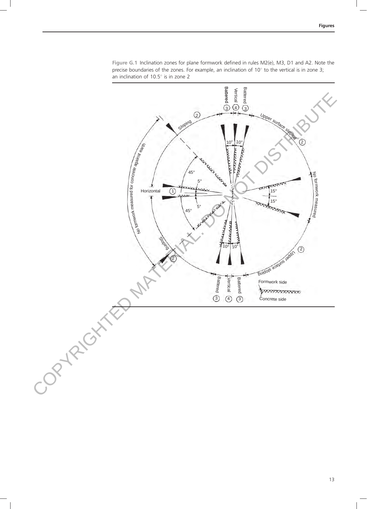

Figure G.1 Inclination zones for plane formwork defined in rules M2(e), M3, D1 and A2. Note the precise boundaries of the zones. For example, an inclination of  $10^\circ$  to the vertical is in zone 3; an inclination of  $10.5^{\circ}$  is in zone 2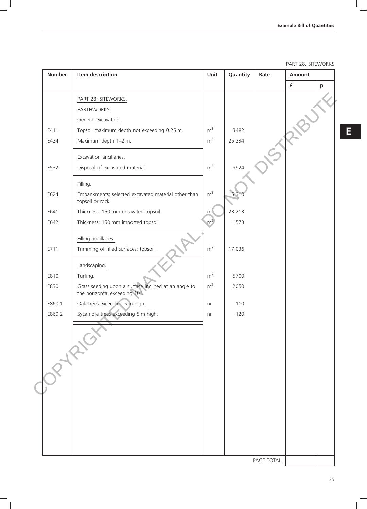PART 28. SITEWORKS

| <b>Number</b> | Item description                                                                      | Unit           | Quantity | Rate       | Amount           |              |
|---------------|---------------------------------------------------------------------------------------|----------------|----------|------------|------------------|--------------|
|               |                                                                                       |                |          |            | $\pmb{\epsilon}$ | $\mathbf{p}$ |
|               | PART 28. SITEWORKS.                                                                   |                |          |            |                  |              |
|               | EARTHWORKS.                                                                           |                |          |            |                  |              |
|               | General excavation.                                                                   |                |          |            |                  |              |
| E411          | Topsoil maximum depth not exceeding 0.25 m.                                           | m <sup>3</sup> | 3482     |            |                  |              |
| E424          | Maximum depth 1-2 m.                                                                  | m <sup>3</sup> | 25 2 34  |            |                  |              |
|               | Excavation ancillaries.                                                               |                |          |            |                  |              |
| E532          | Disposal of excavated material.                                                       | m <sup>3</sup> | 9924     |            |                  |              |
|               | Filling.                                                                              |                |          |            |                  |              |
| E624          | Embankments; selected excavated material other than<br>topsoil or rock.               | m <sup>3</sup> | 15 3 10  |            |                  |              |
| E641          | Thickness; 150 mm excavated topsoil.                                                  | m <sup>2</sup> | 23 213   |            |                  |              |
| E642          | Thickness; 150 mm imported topsoil.                                                   | m <sup>2</sup> | 1573     |            |                  |              |
|               | Filling ancillaries.                                                                  |                |          |            |                  |              |
| E711          | Trimming of filled surfaces; topsoil.                                                 | m <sup>2</sup> | 17 036   |            |                  |              |
|               | Landscaping.                                                                          |                |          |            |                  |              |
| E810          | Turfing.                                                                              | m <sup>2</sup> | 5700     |            |                  |              |
| E830          | Grass seeding upon a surface inclined at an angle to<br>the horizontal exceeding 10°. | m <sup>2</sup> | 2050     |            |                  |              |
| E860.1        | Oak trees exceeding 5 m high.                                                         | nr             | 110      |            |                  |              |
| E860.2        | Sycamore trees exceeding 5 m high.                                                    | nr             | 120      |            |                  |              |
|               | $\dot{\textbf{C}}$                                                                    |                |          |            |                  |              |
|               |                                                                                       |                |          |            |                  |              |
|               |                                                                                       |                |          |            |                  |              |
|               |                                                                                       |                |          |            |                  |              |
|               |                                                                                       |                |          |            |                  |              |
|               |                                                                                       |                |          |            |                  |              |
|               |                                                                                       |                |          |            |                  |              |
|               |                                                                                       |                |          |            |                  |              |
|               |                                                                                       |                |          |            |                  |              |
|               |                                                                                       |                |          |            |                  |              |
|               |                                                                                       |                |          |            |                  |              |
|               |                                                                                       |                |          |            |                  |              |
|               |                                                                                       |                |          | PAGE TOTAL |                  |              |